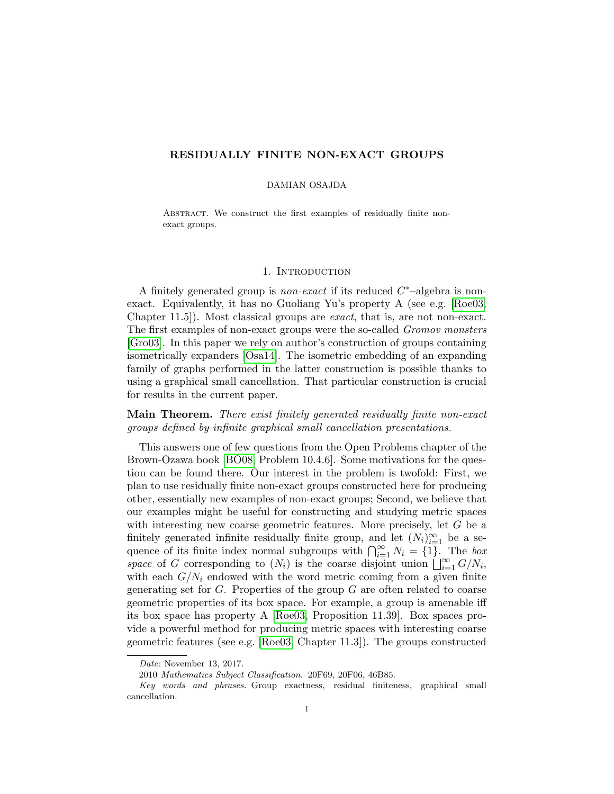# RESIDUALLY FINITE NON-EXACT GROUPS

### DAMIAN OSAJDA

ABSTRACT. We construct the first examples of residually finite nonexact groups.

### 1. Introduction

A finitely generated group is *non-exact* if its reduced  $C^*$ -algebra is nonexact. Equivalently, it has no Guoliang Yu's property A (see e.g. [\[Roe03,](#page-7-0) Chapter 11.5]). Most classical groups are exact, that is, are not non-exact. The first examples of non-exact groups were the so-called Gromov monsters [\[Gro03\]](#page-7-1). In this paper we rely on author's construction of groups containing isometrically expanders [\[Osa14\]](#page-7-2). The isometric embedding of an expanding family of graphs performed in the latter construction is possible thanks to using a graphical small cancellation. That particular construction is crucial for results in the current paper.

Main Theorem. There exist finitely generated residually finite non-exact groups defined by infinite graphical small cancellation presentations.

This answers one of few questions from the Open Problems chapter of the Brown-Ozawa book [\[BO08,](#page-7-3) Problem 10.4.6]. Some motivations for the question can be found there. Our interest in the problem is twofold: First, we plan to use residually finite non-exact groups constructed here for producing other, essentially new examples of non-exact groups; Second, we believe that our examples might be useful for constructing and studying metric spaces with interesting new coarse geometric features. More precisely, let G be a finitely generated infinite residually finite group, and let  $(N_i)_{i=1}^{\infty}$  be a sequence of its finite index normal subgroups with  $\bigcap_{i=1}^{\infty} N_i = \{1\}$ . The box space of G corresponding to  $(N_i)$  is the coarse disjoint union  $\bigcup_{i=1}^{\infty} G/N_i$ , with each  $G/N_i$  endowed with the word metric coming from a given finite generating set for  $G$ . Properties of the group  $G$  are often related to coarse geometric properties of its box space. For example, a group is amenable iff its box space has property A [\[Roe03,](#page-7-0) Proposition 11.39]. Box spaces provide a powerful method for producing metric spaces with interesting coarse geometric features (see e.g. [\[Roe03,](#page-7-0) Chapter 11.3]). The groups constructed

Date: November 13, 2017.

<sup>2010</sup> Mathematics Subject Classification. 20F69, 20F06, 46B85.

Key words and phrases. Group exactness, residual finiteness, graphical small cancellation.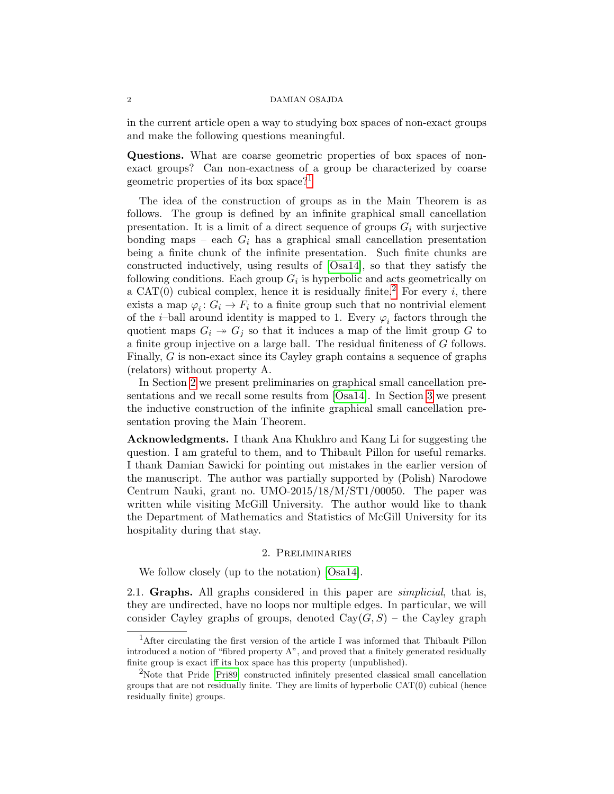in the current article open a way to studying box spaces of non-exact groups and make the following questions meaningful.

Questions. What are coarse geometric properties of box spaces of nonexact groups? Can non-exactness of a group be characterized by coarse geometric properties of its box space?[1](#page-1-0)

The idea of the construction of groups as in the Main Theorem is as follows. The group is defined by an infinite graphical small cancellation presentation. It is a limit of a direct sequence of groups  $G_i$  with surjective bonding maps – each  $G_i$  has a graphical small cancellation presentation being a finite chunk of the infinite presentation. Such finite chunks are constructed inductively, using results of [\[Osa14\]](#page-7-2), so that they satisfy the following conditions. Each group  $G_i$  is hyperbolic and acts geometrically on a CAT(0) cubical complex, hence it is residually finite.<sup>[2](#page-1-1)</sup> For every i, there exists a map  $\varphi_i: G_i \to F_i$  to a finite group such that no nontrivial element of the *i*-ball around identity is mapped to 1. Every  $\varphi_i$  factors through the quotient maps  $G_i \rightarrow G_j$  so that it induces a map of the limit group G to a finite group injective on a large ball. The residual finiteness of G follows. Finally, G is non-exact since its Cayley graph contains a sequence of graphs (relators) without property A.

In Section [2](#page-1-2) we present preliminaries on graphical small cancellation presentations and we recall some results from [\[Osa14\]](#page-7-2). In Section [3](#page-4-0) we present the inductive construction of the infinite graphical small cancellation presentation proving the Main Theorem.

Acknowledgments. I thank Ana Khukhro and Kang Li for suggesting the question. I am grateful to them, and to Thibault Pillon for useful remarks. I thank Damian Sawicki for pointing out mistakes in the earlier version of the manuscript. The author was partially supported by (Polish) Narodowe Centrum Nauki, grant no. UMO-2015/18/M/ST1/00050. The paper was written while visiting McGill University. The author would like to thank the Department of Mathematics and Statistics of McGill University for its hospitality during that stay.

#### 2. Preliminaries

<span id="page-1-2"></span>We follow closely (up to the notation) [\[Osa14\]](#page-7-2).

2.1. Graphs. All graphs considered in this paper are *simplicial*, that is, they are undirected, have no loops nor multiple edges. In particular, we will consider Cayley graphs of groups, denoted  $Cay(G, S)$  – the Cayley graph

<span id="page-1-0"></span><sup>&</sup>lt;sup>1</sup>After circulating the first version of the article I was informed that Thibault Pillon introduced a notion of "fibred property A", and proved that a finitely generated residually finite group is exact iff its box space has this property (unpublished).

<span id="page-1-1"></span><sup>&</sup>lt;sup>2</sup>Note that Pride [\[Pri89\]](#page-7-4) constructed infinitely presented classical small cancellation groups that are not residually finite. They are limits of hyperbolic CAT(0) cubical (hence residually finite) groups.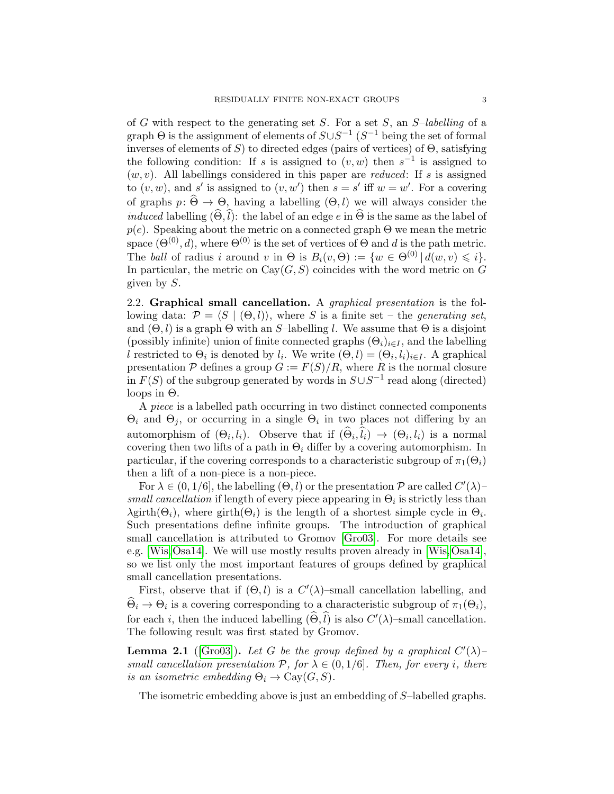of  $G$  with respect to the generating set  $S$ . For a set  $S$ , an  $S$ -labelling of a graph  $\Theta$  is the assignment of elements of  $S \cup S^{-1}$  ( $S^{-1}$  being the set of formal inverses of elements of  $S$ ) to directed edges (pairs of vertices) of  $\Theta$ , satisfying the following condition: If s is assigned to  $(v, w)$  then  $s^{-1}$  is assigned to  $(w, v)$ . All labellings considered in this paper are *reduced*: If s is assigned to  $(v, w)$ , and s' is assigned to  $(v, w')$  then  $s = s'$  iff  $w = w'$ . For a covering of graphs  $p: \widehat{\Theta} \to \Theta$ , having a labelling  $(\Theta, l)$  we will always consider the *induced* labelling  $(\widehat{\Theta}, \widehat{l})$ : the label of an edge e in  $\widehat{\Theta}$  is the same as the label of  $p(e)$ . Speaking about the metric on a connected graph  $\Theta$  we mean the metric space ( $\Theta^{(0)}$ , d), where  $\Theta^{(0)}$  is the set of vertices of  $\Theta$  and d is the path metric. The ball of radius i around v in  $\Theta$  is  $B_i(v, \Theta) := \{w \in \Theta^{(0)} | d(w, v) \leq i\}.$ In particular, the metric on  $Cay(G, S)$  coincides with the word metric on G given by S.

2.2. Graphical small cancellation. A *graphical presentation* is the following data:  $\mathcal{P} = \langle S | (\Theta, l) \rangle$ , where S is a finite set – the *generating set*, and  $(\Theta, l)$  is a graph  $\Theta$  with an S-labelling l. We assume that  $\Theta$  is a disjoint (possibly infinite) union of finite connected graphs  $(\Theta_i)_{i\in I}$ , and the labelling l restricted to  $\Theta_i$  is denoted by  $l_i$ . We write  $(\Theta, l) = (\Theta_i, l_i)_{i \in I}$ . A graphical presentation  $P$  defines a group  $G := F(S)/R$ , where R is the normal closure in  $F(S)$  of the subgroup generated by words in  $S \cup S^{-1}$  read along (directed) loops in  $Θ$ .

A piece is a labelled path occurring in two distinct connected components  $\Theta_i$  and  $\Theta_j$ , or occurring in a single  $\Theta_i$  in two places not differing by an automorphism of  $(\Theta_i, l_i)$ . Observe that if  $(\Theta_i, l_i) \rightarrow (\Theta_i, l_i)$  is a normal covering then two lifts of a path in  $\Theta_i$  differ by a covering automorphism. In particular, if the covering corresponds to a characteristic subgroup of  $\pi_1(\Theta_i)$ then a lift of a non-piece is a non-piece.

For  $\lambda \in (0, 1/6]$ , the labelling  $(\Theta, l)$  or the presentation  $\mathcal P$  are called  $C'(\lambda)$ small cancellation if length of every piece appearing in  $\Theta_i$  is strictly less than  $\lambda$ girth $(\Theta_i)$ , where girth $(\Theta_i)$  is the length of a shortest simple cycle in  $\Theta_i$ . Such presentations define infinite groups. The introduction of graphical small cancellation is attributed to Gromov [\[Gro03\]](#page-7-1). For more details see e.g. [\[Wis,](#page-7-5)[Osa14\]](#page-7-2). We will use mostly results proven already in [\[Wis,](#page-7-5)[Osa14\]](#page-7-2), so we list only the most important features of groups defined by graphical small cancellation presentations.

First, observe that if  $(\Theta, l)$  is a  $C'(\lambda)$ -small cancellation labelling, and  $\Theta_i \to \Theta_i$  is a covering corresponding to a characteristic subgroup of  $\pi_1(\Theta_i)$ , for each *i*, then the induced labelling  $(\widehat{\Theta}, \widehat{l})$  is also  $C'(\lambda)$ -small cancellation. The following result was first stated by Gromov.

<span id="page-2-0"></span>**Lemma 2.1** ([\[Gro03\]](#page-7-1)). Let G be the group defined by a graphical  $C'(\lambda)$ small cancellation presentation  $P$ , for  $\lambda \in (0,1/6]$ . Then, for every *i*, there is an isometric embedding  $\Theta_i \to \text{Cay}(G, S)$ .

The isometric embedding above is just an embedding of S–labelled graphs.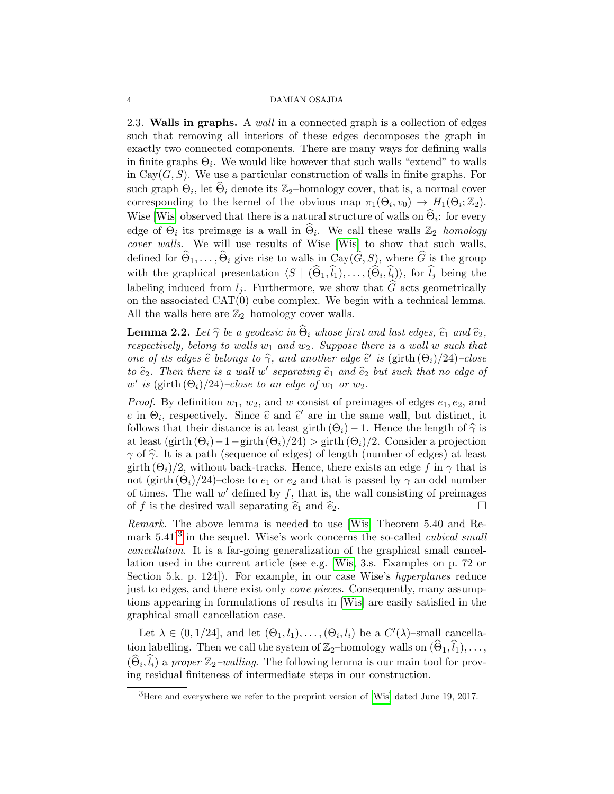2.3. Walls in graphs. A wall in a connected graph is a collection of edges such that removing all interiors of these edges decomposes the graph in exactly two connected components. There are many ways for defining walls in finite graphs  $\Theta_i$ . We would like however that such walls "extend" to walls in Cay $(G, S)$ . We use a particular construction of walls in finite graphs. For such graph  $\Theta_i$ , let  $\widehat{\Theta}_i$  denote its  $\mathbb{Z}_2$ -homology cover, that is, a normal cover corresponding to the kernel of the obvious map  $\pi_1(\Theta_i, v_0) \to H_1(\Theta_i; \mathbb{Z}_2)$ . Wise [\[Wis\]](#page-7-5) observed that there is a natural structure of walls on  $\Theta_i$ : for every edge of  $\Theta_i$  its preimage is a wall in  $\widehat{\Theta}_i$ . We call these walls  $\mathbb{Z}_2$ -homology cover walls. We will use results of Wise [\[Wis\]](#page-7-5) to show that such walls, defined for  $\hat{\Theta}_1, \ldots, \hat{\Theta}_i$  give rise to walls in Cay( $\hat{G}, S$ ), where  $\hat{G}$  is the group with the graphical presentation  $\langle S | (\Theta_1, l_1), \ldots, (\Theta_i, l_i) \rangle$ , for  $l_j$  being the labeling induced from  $l_i$ . Furthermore, we show that  $\widehat{G}$  acts geometrically on the associated CAT(0) cube complex. We begin with a technical lemma. All the walls here are  $\mathbb{Z}_2$ -homology cover walls.

<span id="page-3-1"></span>**Lemma 2.2.** Let  $\hat{\gamma}$  be a geodesic in  $\hat{\Theta}_i$  whose first and last edges,  $\hat{e}_1$  and  $\hat{e}_2$ , respectively, belong to walls  $w_1$  and  $w_2$ . Suppose there is a wall w such that one of its edges  $\hat{e}$  belongs to  $\hat{\gamma}$ , and another edge  $\hat{e}'$  is (girth  $(\Theta_i)/24$ )–close to  $\hat{e}_2$ . Then there is a wall w' separating  $\hat{e}_1$  and  $\hat{e}_2$  but such that no edge of  $w'$  is (girth  $(\Theta_i)/24$ )-close to an edge of  $w_1$  or  $w_2$ .

*Proof.* By definition  $w_1, w_2$ , and w consist of preimages of edges  $e_1, e_2$ , and e in  $\Theta_i$ , respectively. Since  $\hat{e}$  and  $\hat{e}'$  are in the same wall, but distinct, it follows that their distance is at least girth  $(\Theta_i) = 1$ . Hence the length of  $\hat{\alpha}$  is follows that their distance is at least girth  $(\Theta_i) - 1$ . Hence the length of  $\hat{\gamma}$  is at least  $(\text{girth } (\Theta_i)-1-\text{girth } (\Theta_i)/24) > \text{girth } (\Theta_i)/2.$  Consider a projection  $\gamma$  of  $\hat{\gamma}$ . It is a path (sequence of edges) of length (number of edges) at least girth  $(\Theta_i)/2$ , without back-tracks. Hence, there exists an edge f in  $\gamma$  that is not (girth  $(\Theta_i)/24$ )–close to  $e_1$  or  $e_2$  and that is passed by  $\gamma$  an odd number of times. The wall  $w'$  defined by  $f$ , that is, the wall consisting of preimages of f is the desired wall separating  $\hat{e}_1$  and  $\hat{e}_2$ .

Remark. The above lemma is needed to use [\[Wis,](#page-7-5) Theorem 5.40 and Remark  $5.41$ <sup>[3](#page-3-0)</sup> in the sequel. Wise's work concerns the so-called *cubical small* cancellation. It is a far-going generalization of the graphical small cancellation used in the current article (see e.g. [\[Wis,](#page-7-5) 3.s. Examples on p. 72 or Section 5.k. p. 124]). For example, in our case Wise's hyperplanes reduce just to edges, and there exist only cone pieces. Consequently, many assumptions appearing in formulations of results in [\[Wis\]](#page-7-5) are easily satisfied in the graphical small cancellation case.

Let  $\lambda \in (0, 1/24]$ , and let  $(\Theta_1, l_1), \ldots, (\Theta_i, l_i)$  be a  $C'(\lambda)$ -small cancellation labelling. Then we call the system of  $\mathbb{Z}_2$ –homology walls on  $(\Theta_1, l_1), \ldots,$  $(\widehat{\Theta}_i, \widehat{l}_i)$  a proper  $\mathbb{Z}_2$ -walling. The following lemma is our main tool for proving residual finiteness of intermediate steps in our construction.

<span id="page-3-0"></span><sup>&</sup>lt;sup>3</sup>Here and everywhere we refer to the preprint version of [\[Wis\]](#page-7-5) dated June 19, 2017.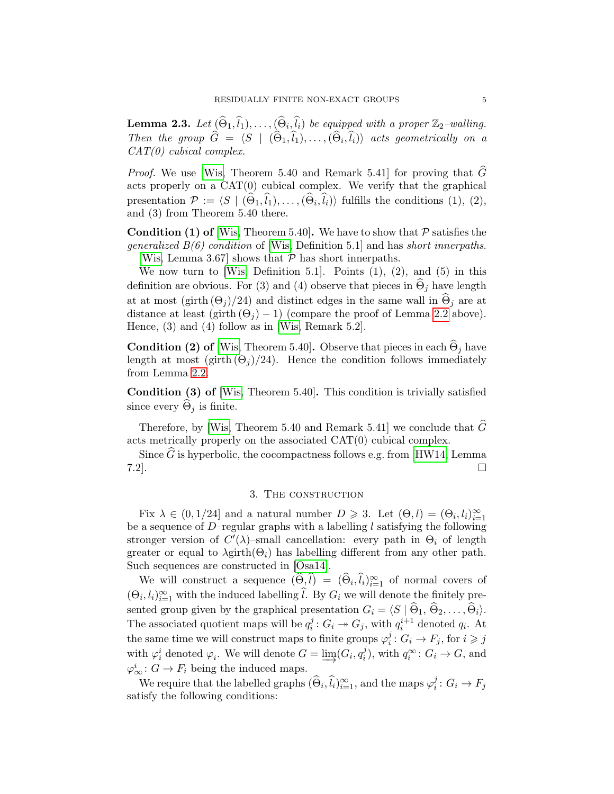<span id="page-4-1"></span>**Lemma 2.3.** Let  $(\widehat{\Theta}_1, \widehat{l}_1), \ldots, (\widehat{\Theta}_i, \widehat{l}_i)$  be equipped with a proper  $\mathbb{Z}_2$ -walling. Then the group  $G = \langle S \mid (\Theta_1, l_1), \ldots, (\Theta_i, l_i) \rangle$  acts geometrically on a  $GAT(G)$  $CAT(0)$  cubical complex.

*Proof.* We use [\[Wis,](#page-7-5) Theorem 5.40 and Remark 5.41] for proving that  $\widehat{G}$ acts properly on a  $CAT(0)$  cubical complex. We verify that the graphical presentation  $\mathcal{P} := \langle S \mid (\Theta_1, l_1), \ldots, (\Theta_i, l_i) \rangle$  fulfills the conditions (1), (2), and (3) from Theorem 5.40 there.

**Condition (1) of** [\[Wis,](#page-7-5) Theorem 5.40]. We have to show that  $P$  satisfies the *generalized*  $B(6)$  *condition* of [\[Wis,](#page-7-5) Definition 5.1] and has *short innerpaths*. [\[Wis,](#page-7-5) Lemma 3.67] shows that  $P$  has short innerpaths.

We now turn to [\[Wis,](#page-7-5) Definition 5.1]. Points  $(1)$ ,  $(2)$ , and  $(5)$  in this definition are obvious. For (3) and (4) observe that pieces in  $\Theta_i$  have length at at most (girth  $(\Theta_j)/24$ ) and distinct edges in the same wall in  $\widehat{\Theta}_j$  are at distance at least (girth  $(\Theta_i) - 1$ ) (compare the proof of Lemma [2.2](#page-3-1) above). Hence, (3) and (4) follow as in [\[Wis,](#page-7-5) Remark 5.2].

**Condition (2) of** [\[Wis,](#page-7-5) Theorem 5.40]. Observe that pieces in each  $\hat{\Theta}_i$  have length at most (girth  $(\Theta_i)/24$ ). Hence the condition follows immediately from Lemma [2.2.](#page-3-1)

Condition (3) of [\[Wis,](#page-7-5) Theorem 5.40]. This condition is trivially satisfied since every  $\Theta_i$  is finite.

Therefore, by [\[Wis,](#page-7-5) Theorem 5.40 and Remark 5.41] we conclude that  $\tilde{G}$ acts metrically properly on the associated CAT(0) cubical complex.

Since  $\widehat{G}$  is hyperbolic, the cocompactness follows e.g. from [\[HW14,](#page-7-6) Lemma 7.2]. 7.2].

### 3. The construction

<span id="page-4-0"></span>Fix  $\lambda \in (0, 1/24]$  and a natural number  $D \geq 3$ . Let  $(\Theta, l) = (\Theta_i, l_i)_{i=1}^{\infty}$ be a sequence of  $D$ –regular graphs with a labelling  $l$  satisfying the following stronger version of  $C'(\lambda)$ -small cancellation: every path in  $\Theta_i$  of length greater or equal to  $\lambda$ girth $(\Theta_i)$  has labelling different from any other path. Such sequences are constructed in [\[Osa14\]](#page-7-2).

We will construct a sequence  $(\widehat{\Theta}, \widehat{l}) = (\widehat{\Theta}_i, \widehat{l}_i)_{i=1}^{\infty}$  of normal covers of  $(\Theta_i, l_i)_{i=1}^{\infty}$  with the induced labelling  $\hat{l}$ . By  $G_i$  we will denote the finitely presented group given by the graphical presentation  $G_i = \langle S | \hat{\Theta}_1, \hat{\Theta}_2, \dots, \hat{\Theta}_i \rangle$ . The associated quotient maps will be  $q_i^j$  $i<sup>j</sup> : G<sub>i</sub> \rightarrow G<sub>j</sub>$ , with  $q_i^{i+1}$  denoted  $q_i$ . At the same time we will construct maps to finite groups  $\varphi_i^j$  $i_j : G_i \to F_j$ , for  $i \geq j$ with  $\varphi_i^i$  denoted  $\varphi_i$ . We will denote  $G = \varinjlim (G_i, q_i^j)$  $i_j$ , with  $q_i^{\infty}$ :  $G_i \rightarrow G$ , and  $\varphi^i_\infty: G \to F_i$  being the induced maps.

We require that the labelled graphs  $(\widehat{\Theta}_i, \widehat{l}_i)_{i=1}^{\infty}$ , and the maps  $\varphi_i^j$  $i<sup>j</sup> : G_i \to F_j$ satisfy the following conditions: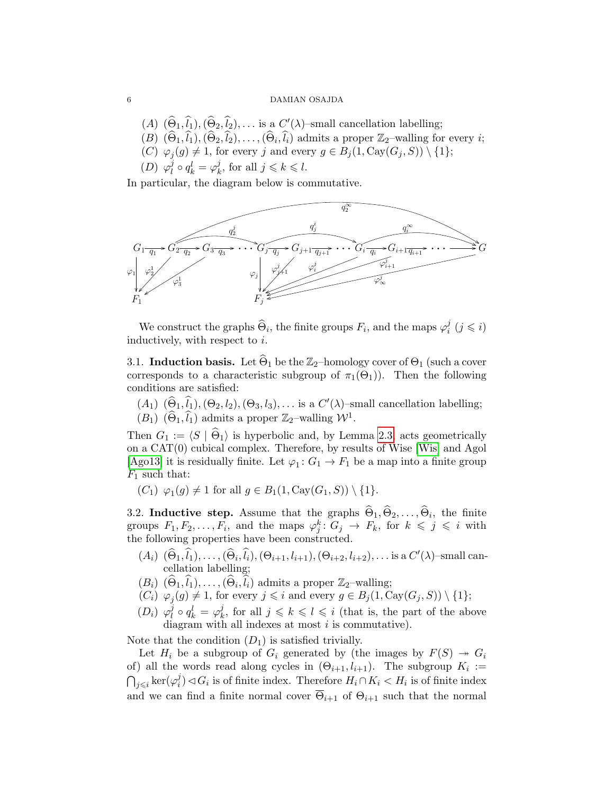- $(A)$   $(\widehat{\Theta}_1, \widehat{l}_1), (\widehat{\Theta}_2, \widehat{l}_2), \ldots$  is a  $C'(\lambda)$ -small cancellation labelling;
- $(B)$   $(\widehat{\Theta}_1, \widehat{l}_1), (\widehat{\Theta}_2, \widehat{l}_2), \ldots, (\widehat{\Theta}_i, \widehat{l}_i)$  admits a proper  $\mathbb{Z}_2$ –walling for every *i*;
- (C)  $\varphi_j(g) \neq 1$ , for every j and every  $g \in B_j(1, \text{Cay}(G_j, S)) \setminus \{1\};$
- $(D)$   $\varphi_l^j$  $\ell_l^j \circ q_k^l = \varphi_k^j$  $j_k^j$ , for all  $j \leq k \leq l$ .

In particular, the diagram below is commutative.



We construct the graphs  $\widehat{\Theta}_i$ , the finite groups  $F_i$ , and the maps  $\varphi_i^j$  $i \ (j \leq i)$ inductively, with respect to i.

3.1. Induction basis. Let  $\widehat{\Theta}_1$  be the  $\mathbb{Z}_2$ –homology cover of  $\Theta_1$  (such a cover corresponds to a characteristic subgroup of  $\pi_1(\Theta_1)$ ). Then the following conditions are satisfied:

 $(A_1)$   $(\widehat{\Theta}_1, \widehat{l}_1), (\Theta_2, l_2), (\Theta_3, l_3), \ldots$  is a  $C'(\lambda)$ -small cancellation labelling;  $(B_1)$   $(\widehat{\Theta}_1, \widehat{l}_1)$  admits a proper  $\mathbb{Z}_2$ -walling  $\mathcal{W}^1$ .

Then  $G_1 := \langle S | \hat{\Theta}_1 \rangle$  is hyperbolic and, by Lemma [2.3,](#page-4-1) acts geometrically on a CAT(0) cubical complex. Therefore, by results of Wise [\[Wis\]](#page-7-5) and Agol [\[Ago13\]](#page-7-7) it is residually finite. Let  $\varphi_1: G_1 \to F_1$  be a map into a finite group  $F_1$  such that:

 $(C_1) \varphi_1(g) \neq 1$  for all  $g \in B_1(1, Cay(G_1, S)) \setminus \{1\}.$ 

3.2. Inductive step. Assume that the graphs  $\Theta_1, \Theta_2, \ldots, \Theta_i$ , the finite groups  $F_1, F_2, \ldots, F_i$ , and the maps  $\varphi_j^k: G_j \to F_k$ , for  $k \leqslant j \leqslant i$  with the following properties have been constructed.

- $(A_i)$   $(\widehat{\Theta}_1, \widehat{l}_1), \ldots, (\widehat{\Theta}_i, \widehat{l}_i), (\Theta_{i+1}, l_{i+1}), (\Theta_{i+2}, l_{i+2}), \ldots$  is a  $C'(\lambda)$ -small cancellation labelling;
- $(B_i)$   $(\widehat{\Theta}_1, \widehat{l}_1), \ldots, (\widehat{\Theta}_i, \widehat{l}_i)$  admits a proper  $\mathbb{Z}_2$ -walling;
- $(C_i)$   $\varphi_j(g) \neq 1$ , for every  $j \leq i$  and every  $g \in B_j(1, \text{Cay}(G_j, S)) \setminus \{1\};$
- $(D_i)$   $\varphi_l^j$  $l^j\circ q^l_k=\varphi^j_k$  $k, \text{for all } j \leq k \leq l \leq i \text{ (that is, the part of the above)}$ diagram with all indexes at most  $i$  is commutative).

Note that the condition  $(D_1)$  is satisfied trivially.

Let  $H_i$  be a subgroup of  $G_i$  generated by (the images by  $F(S) \rightarrow G_i$ of) all the words read along cycles in  $(\Theta_{i+1}, l_{i+1})$ . The subgroup  $K_i :=$  $\bigcap_{j\leqslant i} \ker(\varphi_i^j)$  $i,j$  √  $G_i$  is of finite index. Therefore  $H_i \cap K_i < H_i$  is of finite index and we can find a finite normal cover  $\overline{\Theta}_{i+1}$  of  $\Theta_{i+1}$  such that the normal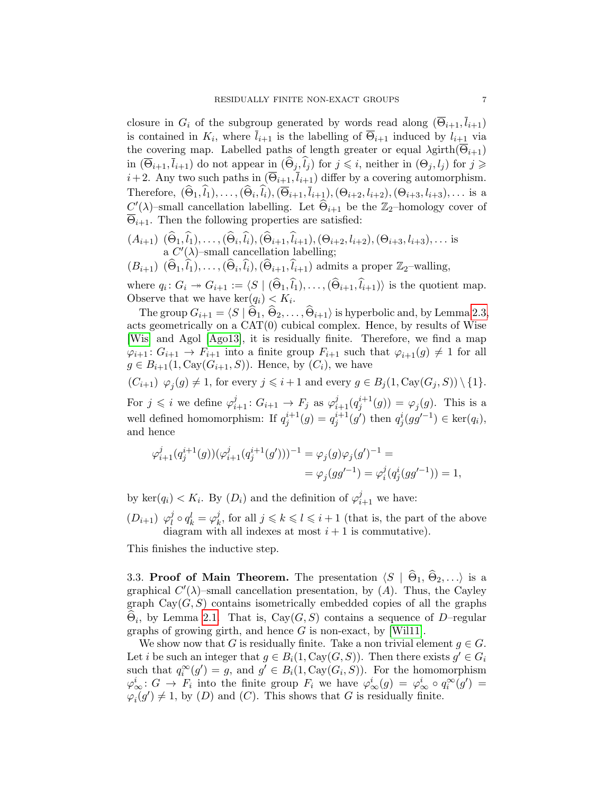closure in  $G_i$  of the subgroup generated by words read along  $(\overline{\Theta}_{i+1}, \overline{l}_{i+1})$ is contained in  $K_i$ , where  $l_{i+1}$  is the labelling of  $\Theta_{i+1}$  induced by  $l_{i+1}$  via the covering map. Labelled paths of length greater or equal  $\lambda$ girth $(\overline{\Theta}_{i+1})$ in  $(\overline{\Theta}_{i+1}, \overline{l}_{i+1})$  do not appear in  $(\widehat{\Theta}_j, \widehat{l}_j)$  for  $j \leq i$ , neither in  $(\Theta_j, l_j)$  for  $j \geq$  $i+2$ . Any two such paths in  $(\overline{\Theta}_{i+1}, \overline{l}_{i+1})$  differ by a covering automorphism. Therefore,  $(\Theta_1, l_1), \ldots, (\Theta_i, l_i), (\Theta_{i+1}, l_{i+1}), (\Theta_{i+2}, l_{i+2}), (\Theta_{i+3}, l_{i+3}), \ldots$  is a  $C'(\lambda)$ -small cancellation labelling. Let  $\widehat{\Theta}_{i+1}$  be the Z<sub>2</sub>-homology cover of  $\overline{\Theta}_{i+1}$ . Then the following properties are satisfied:

 $(A_{i+1})$   $(\Theta_1, l_1), \ldots, (\Theta_i, l_i), (\Theta_{i+1}, l_{i+1}), (\Theta_{i+2}, l_{i+2}), (\Theta_{i+3}, l_{i+3}), \ldots$  is a  $C'(\lambda)$ -small cancellation labelling;

$$
(B_{i+1})
$$
  $(\widehat{\Theta}_1, \widehat{l}_1), \ldots, (\widehat{\Theta}_i, \widehat{l}_i), (\widehat{\Theta}_{i+1}, \widehat{l}_{i+1})$  admits a proper  $\mathbb{Z}_2$ -walling,

where  $q_i: G_i \to G_{i+1} := \langle S \mid (\widehat{\Theta}_1, \widehat{l}_1), \ldots, (\widehat{\Theta}_{i+1}, \widehat{l}_{i+1}) \rangle$  is the quotient map. Observe that we have  $\ker(q_i) < K_i$ .

The group  $G_{i+1} = \langle S | \Theta_1, \Theta_2, \ldots, \Theta_{i+1} \rangle$  is hyperbolic and, by Lemma [2.3,](#page-4-1) acts geometrically on a CAT(0) cubical complex. Hence, by results of Wise [\[Wis\]](#page-7-5) and Agol [\[Ago13\]](#page-7-7), it is residually finite. Therefore, we find a map  $\varphi_{i+1} : G_{i+1} \to F_{i+1}$  into a finite group  $F_{i+1}$  such that  $\varphi_{i+1}(g) \neq 1$  for all  $g \in B_{i+1}(1, \text{Cay}(G_{i+1}, S))$ . Hence, by  $(C_i)$ , we have

$$
(C_{i+1}) \varphi_j(g) \neq 1
$$
, for every  $j \leq i+1$  and every  $g \in B_j(1, \text{Cay}(G_j, S)) \setminus \{1\}.$ 

For  $j \leq i$  we define  $\varphi_{i+1}^j : G_{i+1} \to F_j$  as  $\varphi_{i+1}^j(q_j^{i+1}(g)) = \varphi_j(g)$ . This is a well defined homomorphism: If  $q_j^{i+1}(g) = q_j^{i+1}(g')$  then  $q_j^{i}(gg'^{-1}) \in \text{ker}(q_i)$ , and hence

$$
\begin{aligned} \varphi^{j}_{i+1}(q^{i+1}_j(g))(\varphi^{j}_{i+1}(q^{i+1}_j(g')))^{-1} &= \varphi_j(g)\varphi_j(g')^{-1} = \\ &= \varphi_j(gg'^{-1}) = \varphi^j_i(q^i_j(gg'^{-1})) = 1, \end{aligned}
$$

by ker $(q_i) < K_i$ . By  $(D_i)$  and the definition of  $\varphi_{i+1}^j$  we have:

 $(D_{i+1}) \varphi_l^j$  $l^j \circ q_k^l = \varphi_k^j$  $k, \text{ for all } j \leq k \leq l \leq i+1$  (that is, the part of the above diagram with all indexes at most  $i + 1$  is commutative).

This finishes the inductive step.

3.3. Proof of Main Theorem. The presentation  $\langle S | \hat{\Theta}_1, \hat{\Theta}_2, \ldots \rangle$  is a graphical  $C'(\lambda)$ -small cancellation presentation, by  $(A)$ . Thus, the Cayley graph  $Cay(G, S)$  contains isometrically embedded copies of all the graphs  $\Theta_i$ , by Lemma [2.1.](#page-2-0) That is, Cay $(G, S)$  contains a sequence of D–regular graphs of growing girth, and hence  $G$  is non-exact, by [\[Wil11\]](#page-7-8).

We show now that G is residually finite. Take a non trivial element  $g \in G$ . Let *i* be such an integer that  $g \in B_i(1, \text{Cay}(G, S))$ . Then there exists  $g' \in G_i$ such that  $q_i^{\infty}(g') = g$ , and  $g' \in B_i(1, \text{Cay}(G_i, S))$ . For the homomorphism  $\varphi^i_\infty: G \to F_i$  into the finite group  $F_i$  we have  $\varphi^i_\infty(g) = \varphi^i_\infty \circ q_i^\infty(g') =$  $\varphi_i(g') \neq 1$ , by  $(D)$  and  $(C)$ . This shows that G is residually finite.